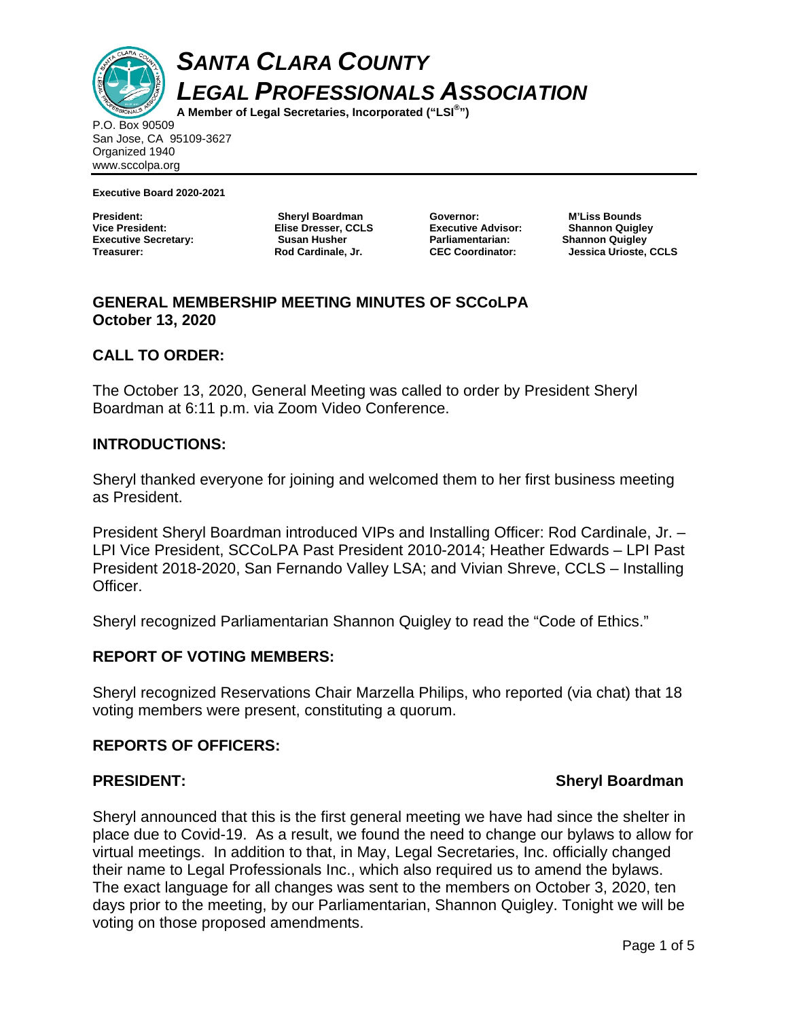

*SANTA CLARA COUNTY LEGAL PROFESSIONALS ASSOCIATION* 

**A Member of Legal Secretaries, Incorporated ("LSI® ")** 

P.O. Box 90509 San Jose, CA 95109-3627 Organized 1940 www.sccolpa.org

**Executive Board 2020-2021** 

**President: Sheryl Boardman Executive Secretary:** Susan Husher **Treasurer: Rod Cardinale, Jr.** 

**Elise Dresser, CCLS** 

**Executive Advisor: Parliamentarian: Shannon Quigley** 

**Governor: M'Liss Bounds CEC Coordinator: Jessica Urioste, CCLS** 

# **GENERAL MEMBERSHIP MEETING MINUTES OF SCCoLPA October 13, 2020**

## **CALL TO ORDER:**

The October 13, 2020, General Meeting was called to order by President Sheryl Boardman at 6:11 p.m. via Zoom Video Conference.

## **INTRODUCTIONS:**

Sheryl thanked everyone for joining and welcomed them to her first business meeting as President.

President Sheryl Boardman introduced VIPs and Installing Officer: Rod Cardinale, Jr. – LPI Vice President, SCCoLPA Past President 2010-2014; Heather Edwards – LPI Past President 2018-2020, San Fernando Valley LSA; and Vivian Shreve, CCLS – Installing Officer.

Sheryl recognized Parliamentarian Shannon Quigley to read the "Code of Ethics."

## **REPORT OF VOTING MEMBERS:**

Sheryl recognized Reservations Chair Marzella Philips, who reported (via chat) that 18 voting members were present, constituting a quorum.

### **REPORTS OF OFFICERS:**

## **PRESIDENT:** Sheryl Boardman **PRESIDENT:** Sheryl Boardman **Sheryl Boardman**

Sheryl announced that this is the first general meeting we have had since the shelter in place due to Covid-19. As a result, we found the need to change our bylaws to allow for virtual meetings. In addition to that, in May, Legal Secretaries, Inc. officially changed their name to Legal Professionals Inc., which also required us to amend the bylaws. The exact language for all changes was sent to the members on October 3, 2020, ten days prior to the meeting, by our Parliamentarian, Shannon Quigley. Tonight we will be voting on those proposed amendments.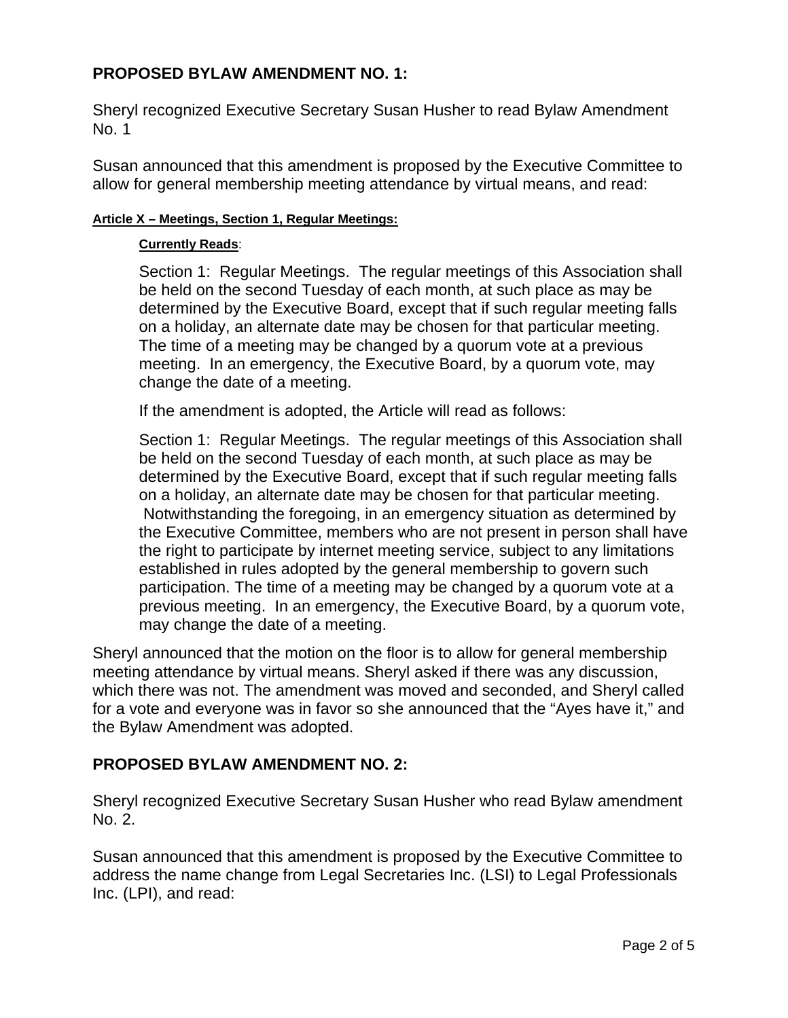# **PROPOSED BYLAW AMENDMENT NO. 1:**

Sheryl recognized Executive Secretary Susan Husher to read Bylaw Amendment No. 1

Susan announced that this amendment is proposed by the Executive Committee to allow for general membership meeting attendance by virtual means, and read:

#### **Article X – Meetings, Section 1, Regular Meetings:**

#### **Currently Reads**:

Section 1: Regular Meetings. The regular meetings of this Association shall be held on the second Tuesday of each month, at such place as may be determined by the Executive Board, except that if such regular meeting falls on a holiday, an alternate date may be chosen for that particular meeting. The time of a meeting may be changed by a quorum vote at a previous meeting. In an emergency, the Executive Board, by a quorum vote, may change the date of a meeting.

If the amendment is adopted, the Article will read as follows:

Section 1: Regular Meetings. The regular meetings of this Association shall be held on the second Tuesday of each month, at such place as may be determined by the Executive Board, except that if such regular meeting falls on a holiday, an alternate date may be chosen for that particular meeting. Notwithstanding the foregoing, in an emergency situation as determined by the Executive Committee, members who are not present in person shall have the right to participate by internet meeting service, subject to any limitations established in rules adopted by the general membership to govern such participation. The time of a meeting may be changed by a quorum vote at a previous meeting. In an emergency, the Executive Board, by a quorum vote, may change the date of a meeting.

Sheryl announced that the motion on the floor is to allow for general membership meeting attendance by virtual means. Sheryl asked if there was any discussion, which there was not. The amendment was moved and seconded, and Sheryl called for a vote and everyone was in favor so she announced that the "Ayes have it," and the Bylaw Amendment was adopted.

## **PROPOSED BYLAW AMENDMENT NO. 2:**

Sheryl recognized Executive Secretary Susan Husher who read Bylaw amendment No. 2.

Susan announced that this amendment is proposed by the Executive Committee to address the name change from Legal Secretaries Inc. (LSI) to Legal Professionals Inc. (LPI), and read: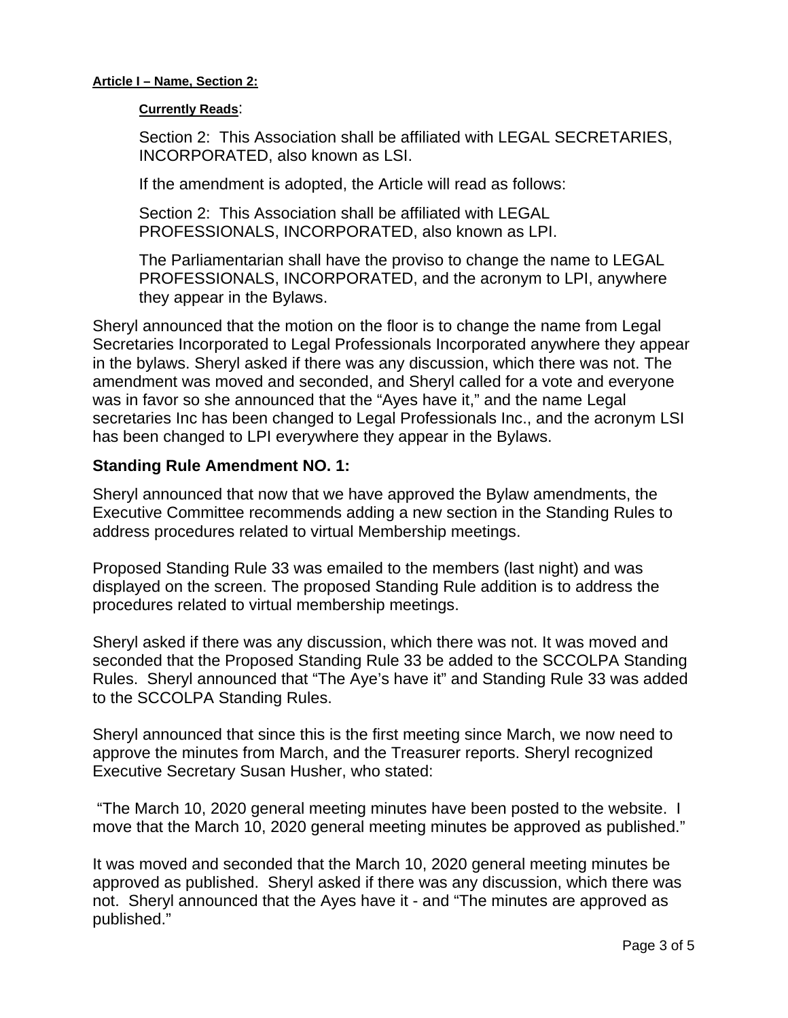#### **Article I – Name, Section 2:**

#### **Currently Reads**:

Section 2: This Association shall be affiliated with LEGAL SECRETARIES, INCORPORATED, also known as LSI.

If the amendment is adopted, the Article will read as follows:

Section 2: This Association shall be affiliated with LEGAL PROFESSIONALS, INCORPORATED, also known as LPI.

The Parliamentarian shall have the proviso to change the name to LEGAL PROFESSIONALS, INCORPORATED, and the acronym to LPI, anywhere they appear in the Bylaws.

Sheryl announced that the motion on the floor is to change the name from Legal Secretaries Incorporated to Legal Professionals Incorporated anywhere they appear in the bylaws. Sheryl asked if there was any discussion, which there was not. The amendment was moved and seconded, and Sheryl called for a vote and everyone was in favor so she announced that the "Ayes have it," and the name Legal secretaries Inc has been changed to Legal Professionals Inc., and the acronym LSI has been changed to LPI everywhere they appear in the Bylaws.

## **Standing Rule Amendment NO. 1:**

Sheryl announced that now that we have approved the Bylaw amendments, the Executive Committee recommends adding a new section in the Standing Rules to address procedures related to virtual Membership meetings.

Proposed Standing Rule 33 was emailed to the members (last night) and was displayed on the screen. The proposed Standing Rule addition is to address the procedures related to virtual membership meetings.

Sheryl asked if there was any discussion, which there was not. It was moved and seconded that the Proposed Standing Rule 33 be added to the SCCOLPA Standing Rules. Sheryl announced that "The Aye's have it" and Standing Rule 33 was added to the SCCOLPA Standing Rules.

Sheryl announced that since this is the first meeting since March, we now need to approve the minutes from March, and the Treasurer reports. Sheryl recognized Executive Secretary Susan Husher, who stated:

 "The March 10, 2020 general meeting minutes have been posted to the website. I move that the March 10, 2020 general meeting minutes be approved as published."

It was moved and seconded that the March 10, 2020 general meeting minutes be approved as published. Sheryl asked if there was any discussion, which there was not. Sheryl announced that the Ayes have it - and "The minutes are approved as published."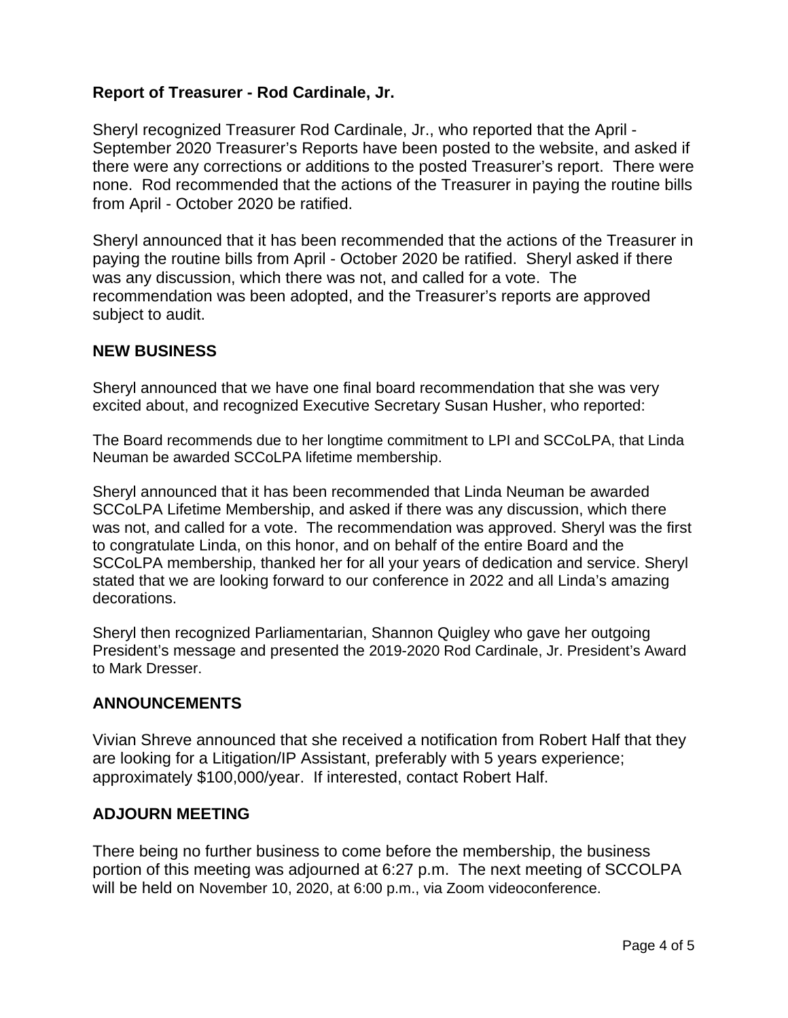# **Report of Treasurer - Rod Cardinale, Jr.**

Sheryl recognized Treasurer Rod Cardinale, Jr., who reported that the April - September 2020 Treasurer's Reports have been posted to the website, and asked if there were any corrections or additions to the posted Treasurer's report. There were none. Rod recommended that the actions of the Treasurer in paying the routine bills from April - October 2020 be ratified.

Sheryl announced that it has been recommended that the actions of the Treasurer in paying the routine bills from April - October 2020 be ratified. Sheryl asked if there was any discussion, which there was not, and called for a vote. The recommendation was been adopted, and the Treasurer's reports are approved subject to audit.

## **NEW BUSINESS**

Sheryl announced that we have one final board recommendation that she was very excited about, and recognized Executive Secretary Susan Husher, who reported:

The Board recommends due to her longtime commitment to LPI and SCCoLPA, that Linda Neuman be awarded SCCoLPA lifetime membership.

Sheryl announced that it has been recommended that Linda Neuman be awarded SCCoLPA Lifetime Membership, and asked if there was any discussion, which there was not, and called for a vote. The recommendation was approved. Sheryl was the first to congratulate Linda, on this honor, and on behalf of the entire Board and the SCCoLPA membership, thanked her for all your years of dedication and service. Sheryl stated that we are looking forward to our conference in 2022 and all Linda's amazing decorations.

Sheryl then recognized Parliamentarian, Shannon Quigley who gave her outgoing President's message and presented the 2019-2020 Rod Cardinale, Jr. President's Award to Mark Dresser.

## **ANNOUNCEMENTS**

Vivian Shreve announced that she received a notification from Robert Half that they are looking for a Litigation/IP Assistant, preferably with 5 years experience; approximately \$100,000/year. If interested, contact Robert Half.

## **ADJOURN MEETING**

There being no further business to come before the membership, the business portion of this meeting was adjourned at 6:27 p.m.The next meeting of SCCOLPA will be held on November 10, 2020, at 6:00 p.m., via Zoom videoconference.